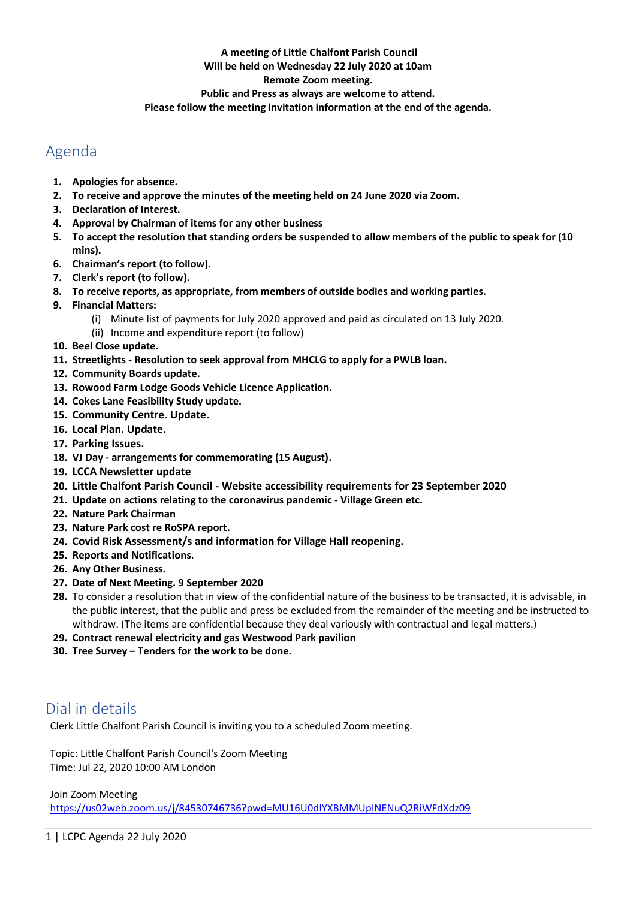### **A meeting of Little Chalfont Parish Council**

#### **Will be held on Wednesday 22 July 2020 at 10am**

### **Remote Zoom meeting.**

### **Public and Press as always are welcome to attend.**

**Please follow the meeting invitation information at the end of the agenda.**

# Agenda

- **1. Apologies for absence.**
- **2. To receive and approve the minutes of the meeting held on 24 June 2020 via Zoom.**
- **3. Declaration of Interest.**
- **4. Approval by Chairman of items for any other business**
- **5. To accept the resolution that standing orders be suspended to allow members of the public to speak for (10 mins).**
- **6. Chairman's report (to follow).**
- **7. Clerk's report (to follow).**
- **8. To receive reports, as appropriate, from members of outside bodies and working parties.**
- **9. Financial Matters:**
	- (i) Minute list of payments for July 2020 approved and paid as circulated on 13 July 2020.
	- (ii) Income and expenditure report (to follow)
- **10. Beel Close update.**
- **11. Streetlights - Resolution to seek approval from MHCLG to apply for a PWLB loan.**
- **12. Community Boards update.**
- **13. Rowood Farm Lodge Goods Vehicle Licence Application.**
- **14. Cokes Lane Feasibility Study update.**
- **15. Community Centre. Update.**
- **16. Local Plan. Update.**
- **17. Parking Issues.**
- **18. VJ Day - arrangements for commemorating (15 August).**
- **19. LCCA Newsletter update**
- **20. Little Chalfont Parish Council - Website accessibility requirements for 23 September 2020**
- **21. Update on actions relating to the coronavirus pandemic - Village Green etc.**
- **22. Nature Park Chairman**
- **23. Nature Park cost re RoSPA report.**
- **24. Covid Risk Assessment/s and information for Village Hall reopening.**
- **25. Reports and Notifications**.
- **26. Any Other Business.**
- **27. Date of Next Meeting. 9 September 2020**
- **28.** To consider a resolution that in view of the confidential nature of the business to be transacted, it is advisable, in the public interest, that the public and press be excluded from the remainder of the meeting and be instructed to withdraw. (The items are confidential because they deal variously with contractual and legal matters.)
- **29. Contract renewal electricity and gas Westwood Park pavilion**
- **30. Tree Survey – Tenders for the work to be done.**

# Dial in details

Clerk Little Chalfont Parish Council is inviting you to a scheduled Zoom meeting.

Topic: Little Chalfont Parish Council's Zoom Meeting Time: Jul 22, 2020 10:00 AM London

Join Zoom Meeting

<https://us02web.zoom.us/j/84530746736?pwd=MU16U0dIYXBMMUpINENuQ2RiWFdXdz09>